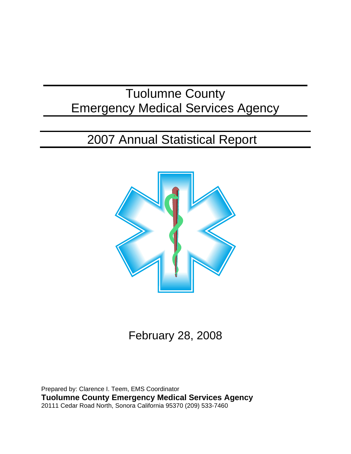# Tuolumne County Emergency Medical Services Agency

# 2007 Annual Statistical Report



February 28, 2008

Prepared by: Clarence I. Teem, EMS Coordinator **Tuolumne County Emergency Medical Services Agency** 20111 Cedar Road North, Sonora California 95370 (209) 533-7460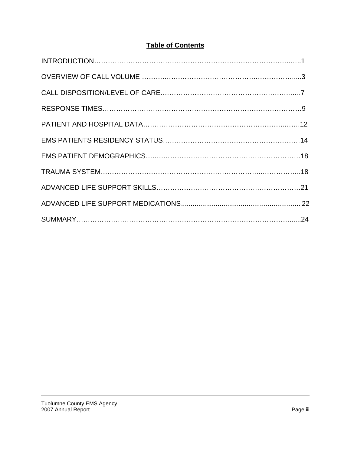# **Table of Contents**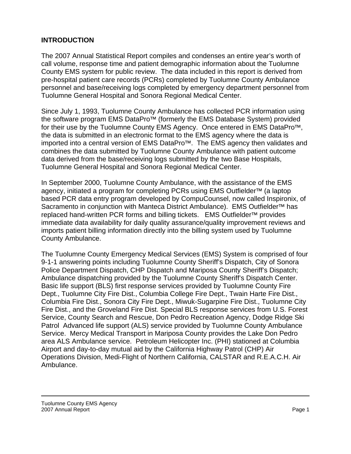## **INTRODUCTION**

The 2007 Annual Statistical Report compiles and condenses an entire year's worth of call volume, response time and patient demographic information about the Tuolumne County EMS system for public review. The data included in this report is derived from pre-hospital patient care records (PCRs) completed by Tuolumne County Ambulance personnel and base/receiving logs completed by emergency department personnel from Tuolumne General Hospital and Sonora Regional Medical Center.

Since July 1, 1993, Tuolumne County Ambulance has collected PCR information using the software program EMS DataPro<sup>™</sup> (formerly the EMS Database System) provided for their use by the Tuolumne County EMS Agency. Once entered in EMS DataPro<sup>™</sup>, the data is submitted in an electronic format to the EMS agency where the data is imported into a central version of EMS DataPro $\mathbb{M}$ . The EMS agency then validates and combines the data submitted by Tuolumne County Ambulance with patient outcome data derived from the base/receiving logs submitted by the two Base Hospitals, Tuolumne General Hospital and Sonora Regional Medical Center.

In September 2000, Tuolumne County Ambulance, with the assistance of the EMS agency, initiated a program for completing PCRs using EMS Outfielder<sup>™</sup> (a laptop based PCR data entry program developed by CompuCounsel, now called Inspironix, of Sacramento in conjunction with Manteca District Ambulance). EMS Outfielder<sup>™</sup> has replaced hand-written PCR forms and billing tickets. EMS Outfielder<sup>™</sup> provides immediate data availability for daily quality assurance/quality improvement reviews and imports patient billing information directly into the billing system used by Tuolumne County Ambulance.

The Tuolumne County Emergency Medical Services (EMS) System is comprised of four 9-1-1 answering points including Tuolumne County Sheriff's Dispatch, City of Sonora Police Department Dispatch, CHP Dispatch and Mariposa County Sheriff's Dispatch; Ambulance dispatching provided by the Tuolumne County Sheriff's Dispatch Center. Basic life support (BLS) first response services provided by Tuolumne County Fire Dept., Tuolumne City Fire Dist., Columbia College Fire Dept., Twain Harte Fire Dist., Columbia Fire Dist., Sonora City Fire Dept., Miwuk-Sugarpine Fire Dist., Tuolumne City Fire Dist., and the Groveland Fire Dist. Special BLS response services from U.S. Forest Service, County Search and Rescue, Don Pedro Recreation Agency, Dodge Ridge Ski Patrol Advanced life support (ALS) service provided by Tuolumne County Ambulance Service. Mercy Medical Transport in Mariposa County provides the Lake Don Pedro area ALS Ambulance service. Petroleum Helicopter Inc. (PHI) stationed at Columbia Airport and day-to-day mutual aid by the California Highway Patrol (CHP) Air Operations Division, Medi-Flight of Northern California, CALSTAR and R.E.A.C.H. Air Ambulance.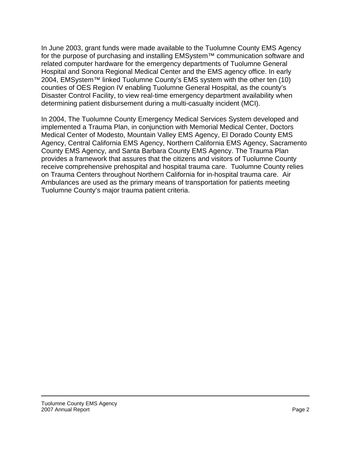In June 2003, grant funds were made available to the Tuolumne County EMS Agency for the purpose of purchasing and installing EMSystem™ communication software and related computer hardware for the emergency departments of Tuolumne General Hospital and Sonora Regional Medical Center and the EMS agency office. In early 2004, EMSystem™ linked Tuolumne County's EMS system with the other ten (10) counties of OES Region IV enabling Tuolumne General Hospital, as the county's Disaster Control Facility, to view real-time emergency department availability when determining patient disbursement during a multi-casualty incident (MCI).

In 2004, The Tuolumne County Emergency Medical Services System developed and implemented a Trauma Plan, in conjunction with Memorial Medical Center, Doctors Medical Center of Modesto, Mountain Valley EMS Agency, El Dorado County EMS Agency, Central California EMS Agency, Northern California EMS Agency, Sacramento County EMS Agency, and Santa Barbara County EMS Agency. The Trauma Plan provides a framework that assures that the citizens and visitors of Tuolumne County receive comprehensive prehospital and hospital trauma care. Tuolumne County relies on Trauma Centers throughout Northern California for in-hospital trauma care. Air Ambulances are used as the primary means of transportation for patients meeting Tuolumne County's major trauma patient criteria.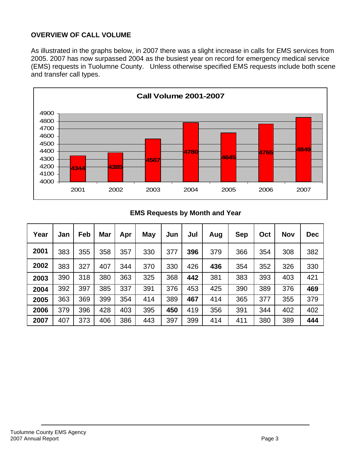# **OVERVIEW OF CALL VOLUME**

As illustrated in the graphs below, in 2007 there was a slight increase in calls for EMS services from 2005. 2007 has now surpassed 2004 as the busiest year on record for emergency medical service (EMS) requests in Tuolumne County. Unless otherwise specified EMS requests include both scene and transfer call types.



## **EMS Requests by Month and Year**

| Year | Jan | Feb | <b>Mar</b> | Apr | <b>May</b> | Jun | Jul | Aug | <b>Sep</b> | Oct | <b>Nov</b> | <b>Dec</b> |
|------|-----|-----|------------|-----|------------|-----|-----|-----|------------|-----|------------|------------|
| 2001 | 383 | 355 | 358        | 357 | 330        | 377 | 396 | 379 | 366        | 354 | 308        | 382        |
| 2002 | 383 | 327 | 407        | 344 | 370        | 330 | 426 | 436 | 354        | 352 | 326        | 330        |
| 2003 | 390 | 318 | 380        | 363 | 325        | 368 | 442 | 381 | 383        | 393 | 403        | 421        |
| 2004 | 392 | 397 | 385        | 337 | 391        | 376 | 453 | 425 | 390        | 389 | 376        | 469        |
| 2005 | 363 | 369 | 399        | 354 | 414        | 389 | 467 | 414 | 365        | 377 | 355        | 379        |
| 2006 | 379 | 396 | 428        | 403 | 395        | 450 | 419 | 356 | 391        | 344 | 402        | 402        |
| 2007 | 407 | 373 | 406        | 386 | 443        | 397 | 399 | 414 | 411        | 380 | 389        | 444        |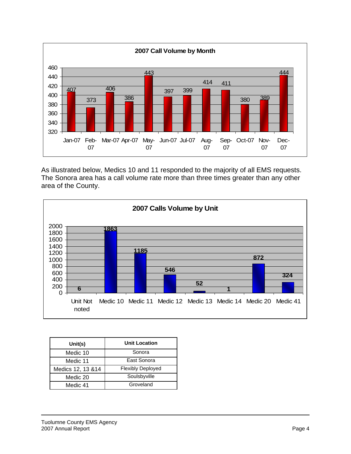

As illustrated below, Medics 10 and 11 responded to the majority of all EMS requests. The Sonora area has a call volume rate more than three times greater than any other area of the County.



| Unit(s)            | <b>Unit Location</b>     |
|--------------------|--------------------------|
| Medic 10           | Sonora                   |
| Medic 11           | East Sonora              |
| Medics 12, 13 & 14 | <b>Flexibly Deployed</b> |
| Medic 20           | Soulsbyville             |
| Medic 41           | Groveland                |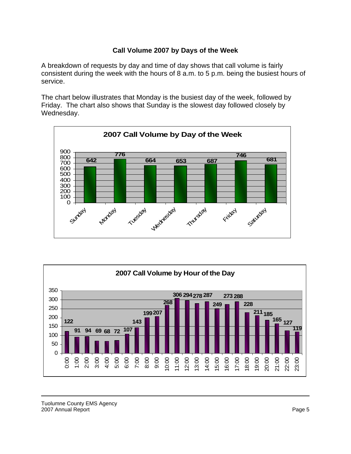## **Call Volume 2007 by Days of the Week**

A breakdown of requests by day and time of day shows that call volume is fairly consistent during the week with the hours of 8 a.m. to 5 p.m. being the busiest hours of service.

The chart below illustrates that Monday is the busiest day of the week, followed by Friday. The chart also shows that Sunday is the slowest day followed closely by Wednesday.



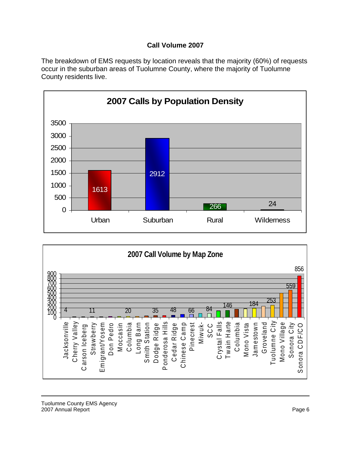# **Call Volume 2007**

The breakdown of EMS requests by location reveals that the majority (60%) of requests occur in the suburban areas of Tuolumne County, where the majority of Tuolumne County residents live.



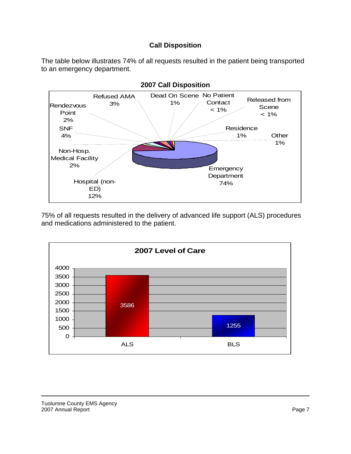## **Call Disposition**

The table below illustrates 74% of all requests resulted in the patient being transported to an emergency department.



75% of all requests resulted in the delivery of advanced life support (ALS) procedures and medications administered to the patient.

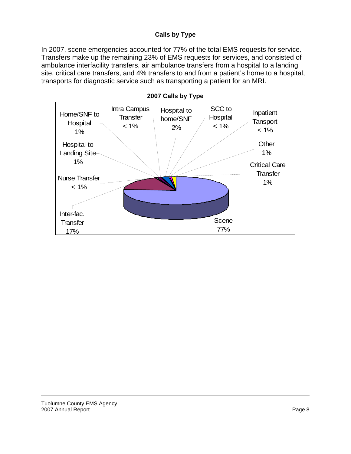## **Calls by Type**

In 2007, scene emergencies accounted for 77% of the total EMS requests for service. Transfers make up the remaining 23% of EMS requests for services, and consisted of ambulance interfacility transfers, air ambulance transfers from a hospital to a landing site, critical care transfers, and 4% transfers to and from a patient's home to a hospital, transports for diagnostic service such as transporting a patient for an MRI.



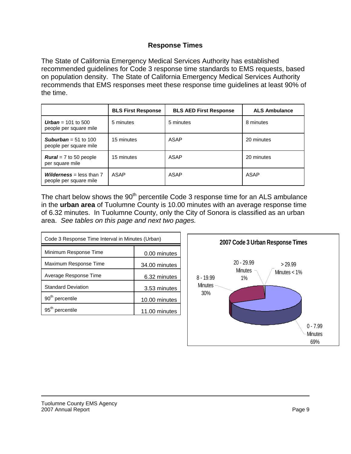## **Response Times**

The State of California Emergency Medical Services Authority has established recommended guidelines for Code 3 response time standards to EMS requests, based on population density. The State of California Emergency Medical Services Authority recommends that EMS responses meet these response time guidelines at least 90% of the time.

|                                                             | <b>BLS First Response</b> | <b>BLS AED First Response</b> | <b>ALS Ambulance</b> |
|-------------------------------------------------------------|---------------------------|-------------------------------|----------------------|
| <b>Urban</b> = 101 to 500<br>people per square mile         | 5 minutes                 | 5 minutes                     | 8 minutes            |
| <b>Suburban</b> = 51 to 100<br>people per square mile       | 15 minutes                | ASAP                          | 20 minutes           |
| <b>Rural</b> = $7$ to 50 people<br>per square mile          | 15 minutes                | <b>ASAP</b>                   | 20 minutes           |
| <b>Wilderness</b> = less than $7$<br>people per square mile | ASAP                      | ASAP                          | ASAP                 |

The chart below shows the 90<sup>th</sup> percentile Code 3 response time for an ALS ambulance in the **urban area** of Tuolumne County is 10.00 minutes with an average response time of 6.32 minutes. In Tuolumne County, only the City of Sonora is classified as an urban area. *See tables on this page and next two pages.*

| Code 3 Response Time Interval in Minutes (Urban) |               |  |  |
|--------------------------------------------------|---------------|--|--|
| Minimum Response Time                            | 0.00 minutes  |  |  |
| Maximum Response Time                            | 34.00 minutes |  |  |
| Average Response Time                            | 6.32 minutes  |  |  |
| <b>Standard Deviation</b>                        | 3.53 minutes  |  |  |
| 90 <sup>th</sup> percentile                      | 10.00 minutes |  |  |
| 95 <sup>th</sup> percentile                      | 11.00 minutes |  |  |

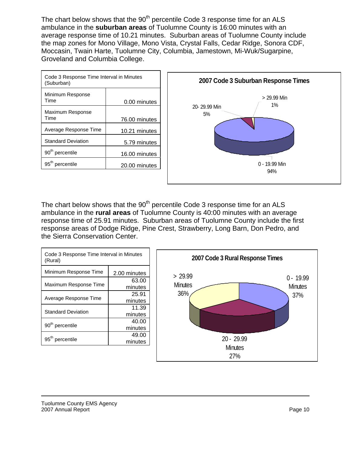The chart below shows that the 90<sup>th</sup> percentile Code 3 response time for an ALS ambulance in the **suburban areas** of Tuolumne County is 16:00 minutes with an average response time of 10.21 minutes. Suburban areas of Tuolumne County include the map zones for Mono Village, Mono Vista, Crystal Falls, Cedar Ridge, Sonora CDF, Moccasin, Twain Harte, Tuolumne City, Columbia, Jamestown, Mi-Wuk/Sugarpine, Groveland and Columbia College.

| Code 3 Response Time Interval in Minutes<br>(Suburban) |               |  |  |
|--------------------------------------------------------|---------------|--|--|
| Minimum Response<br>Time                               | 0.00 minutes  |  |  |
| Maximum Response<br>Time                               | 76.00 minutes |  |  |
| Average Response Time                                  | 10.21 minutes |  |  |
| <b>Standard Deviation</b>                              | 5.79 minutes  |  |  |
| 90 <sup>th</sup> percentile                            | 16.00 minutes |  |  |
| 95 <sup>th</sup> percentile                            | 20.00 minutes |  |  |



The chart below shows that the  $90<sup>th</sup>$  percentile Code 3 response time for an ALS ambulance in the **rural areas** of Tuolumne County is 40:00 minutes with an average response time of 25.91 minutes. Suburban areas of Tuolumne County include the first response areas of Dodge Ridge, Pine Crest, Strawberry, Long Barn, Don Pedro, and the Sierra Conservation Center.

| Code 3 Response Time Interval in Minutes<br>(Rural) |              |  |  |  |
|-----------------------------------------------------|--------------|--|--|--|
| Minimum Response Time                               | 2.00 minutes |  |  |  |
|                                                     | 63.00        |  |  |  |
| Maximum Response Time                               | minutes      |  |  |  |
|                                                     | 25.91        |  |  |  |
| Average Response Time                               | minutes      |  |  |  |
|                                                     | 11.39        |  |  |  |
| <b>Standard Deviation</b>                           | minutes      |  |  |  |
|                                                     | 40.00        |  |  |  |
| 90 <sup>th</sup> percentile                         | minutes      |  |  |  |
|                                                     | 49.00        |  |  |  |
| 95 <sup>th</sup> percentile                         | minutes      |  |  |  |
|                                                     |              |  |  |  |

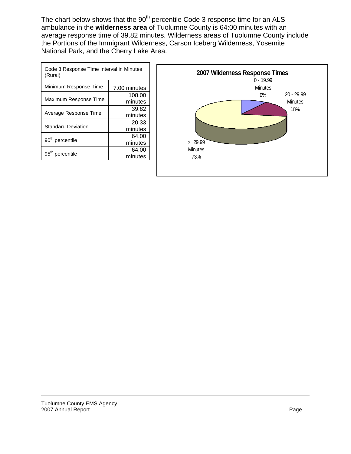The chart below shows that the  $90<sup>th</sup>$  percentile Code 3 response time for an ALS ambulance in the **wilderness area** of Tuolumne County is 64:00 minutes with an average response time of 39.82 minutes. Wilderness areas of Tuolumne County include the Portions of the Immigrant Wilderness, Carson Iceberg Wilderness, Yosemite National Park, and the Cherry Lake Area.

| Code 3 Response Time Interval in Minutes<br>(Rural) |              |  |  |
|-----------------------------------------------------|--------------|--|--|
| Minimum Response Time                               | 7.00 minutes |  |  |
|                                                     | 108.00       |  |  |
| Maximum Response Time                               | minutes      |  |  |
|                                                     | 39.82        |  |  |
| Average Response Time                               | minutes      |  |  |
|                                                     | 20.33        |  |  |
| <b>Standard Deviation</b>                           | minutes      |  |  |
|                                                     | 64.00        |  |  |
| 90 <sup>th</sup> percentile                         | minutes      |  |  |
|                                                     | 64.00        |  |  |
| 95 <sup>th</sup> percentile                         | minutes      |  |  |

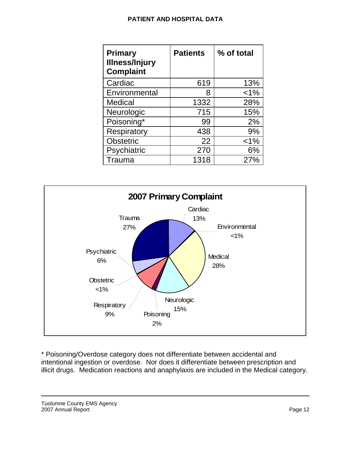#### **PATIENT AND HOSPITAL DATA**

| <b>Primary</b><br><b>Illness/Injury</b><br><b>Complaint</b> | <b>Patients</b> | % of total |
|-------------------------------------------------------------|-----------------|------------|
| Cardiac                                                     | 619             | 13%        |
| Environmental                                               | 8               | $< 1\%$    |
| <b>Medical</b>                                              | 1332            | 28%        |
| Neurologic                                                  | 715             | 15%        |
| Poisoning*                                                  | 99              | 2%         |
| Respiratory                                                 | 438             | 9%         |
| <b>Obstetric</b>                                            | 22              | $< 1\%$    |
| Psychiatric                                                 | 270             | 6%         |
| Trauma                                                      | 1318            | 27%        |



\* Poisoning/Overdose category does not differentiate between accidental and intentional ingestion or overdose. Nor does it differentiate between prescription and illicit drugs. Medication reactions and anaphylaxis are included in the Medical category.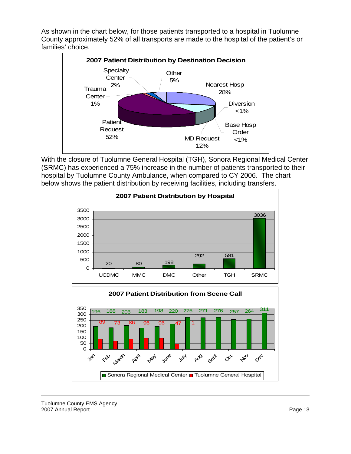As shown in the chart below, for those patients transported to a hospital in Tuolumne County approximately 52% of all transports are made to the hospital of the patient's or families' choice.



With the closure of Tuolumne General Hospital (TGH), Sonora Regional Medical Center (SRMC) has experienced a 75% increase in the number of patients transported to their hospital by Tuolumne County Ambulance, when compared to CY 2006. The chart below shows the patient distribution by receiving facilities, including transfers.



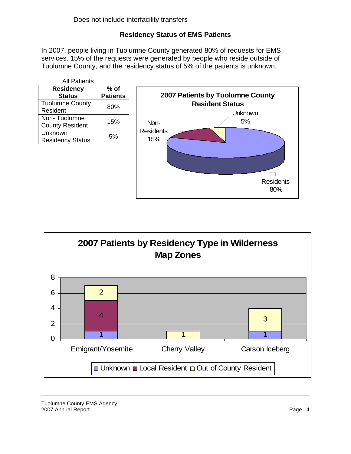# **Residency Status of EMS Patients**

In 2007, people living in Tuolumne County generated 80% of requests for EMS services. 15% of the requests were generated by people who reside outside of Tuolumne County, and the residency status of 5% of the patients is unknown.





Tuolumne County EMS Agency 2007 Annual Report **Page 14** November 2007 Annual Report **Page 14**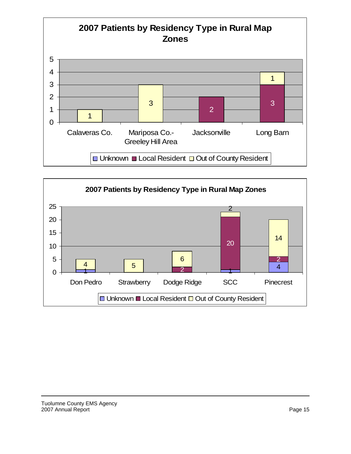

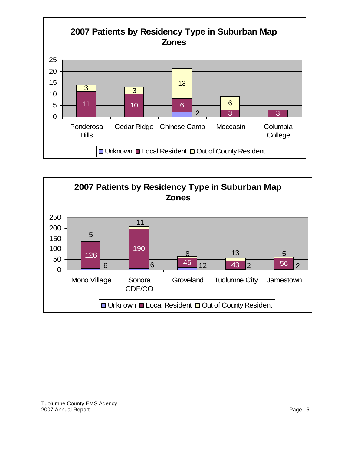

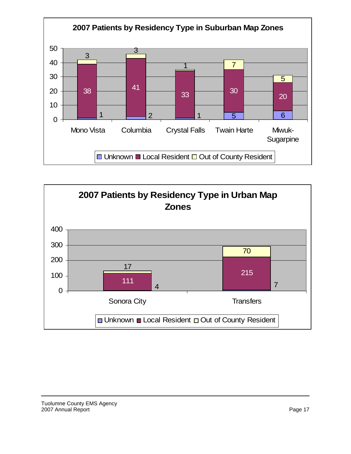

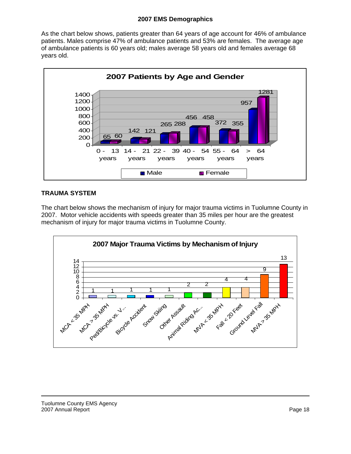#### **2007 EMS Demographics**

As the chart below shows, patients greater than 64 years of age account for 46% of ambulance patients. Males comprise 47% of ambulance patients and 53% are females. The average age of ambulance patients is 60 years old; males average 58 years old and females average 68 years old.



#### **TRAUMA SYSTEM**

The chart below shows the mechanism of injury for major trauma victims in Tuolumne County in 2007. Motor vehicle accidents with speeds greater than 35 miles per hour are the greatest mechanism of injury for major trauma victims in Tuolumne County.

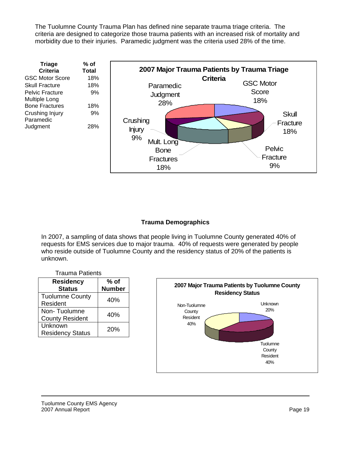The Tuolumne County Trauma Plan has defined nine separate trauma triage criteria. The criteria are designed to categorize those trauma patients with an increased risk of mortality and morbidity due to their injuries. Paramedic judgment was the criteria used 28% of the time.

| <b>Triage</b>          | % of         |
|------------------------|--------------|
| <b>Criteria</b>        | <b>Total</b> |
| <b>GSC Motor Score</b> | 18%          |
| Skull Fracture         | 18%          |
| Pelvic Fracture        | 9%           |
| Multiple Long          |              |
| <b>Bone Fractures</b>  | 18%          |
| Crushing Injury        | 9%           |
| Paramedic              |              |
| Judgment               | 28%          |
|                        |              |



#### **Trauma Demographics**

In 2007, a sampling of data shows that people living in Tuolumne County generated 40% of requests for EMS services due to major trauma. 40% of requests were generated by people who reside outside of Tuolumne County and the residency status of 20% of the patients is unknown.

|  | <b>Trauma Patients</b> |
|--|------------------------|
|--|------------------------|

| <b>Residency</b><br><b>Status</b>      | $%$ of<br><b>Number</b> |
|----------------------------------------|-------------------------|
| <b>Tuolumne County</b><br>Resident     | 40%                     |
| Non-Tuolumne<br><b>County Resident</b> | 40%                     |
| Unknown<br><b>Residency Status</b>     | 20%                     |

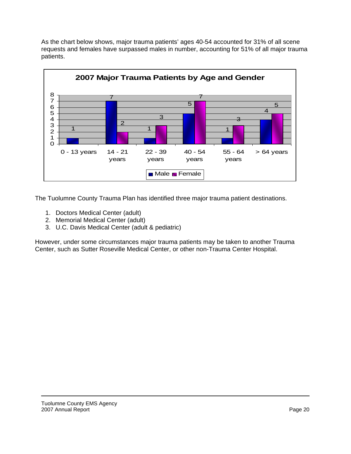As the chart below shows, major trauma patients' ages 40-54 accounted for 31% of all scene requests and females have surpassed males in number, accounting for 51% of all major trauma patients.



The Tuolumne County Trauma Plan has identified three major trauma patient destinations.

- 1. Doctors Medical Center (adult)
- 2. Memorial Medical Center (adult)
- 3. U.C. Davis Medical Center (adult & pediatric)

 Center, such as Sutter Roseville Medical Center, or other non-Trauma Center Hospital. However, under some circumstances major trauma patients may be taken to another Trauma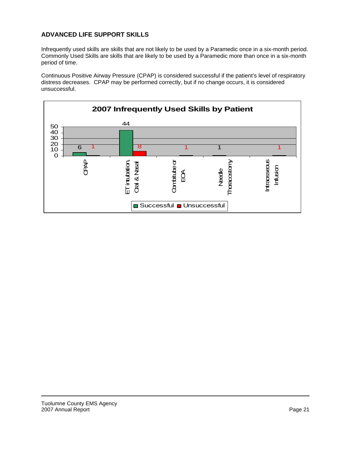#### **ADVANCED LIFE SUPPORT SKILLS**

Infrequently used skills are skills that are not likely to be used by a Paramedic once in a six-month period. Commonly Used Skills are skills that are likely to be used by a Paramedic more than once in a six-month period of time.

Continuous Positive Airway Pressure (CPAP) is considered successful if the patient's level of respiratory distress decreases. CPAP may be performed correctly, but if no change occurs, it is considered unsuccessful.

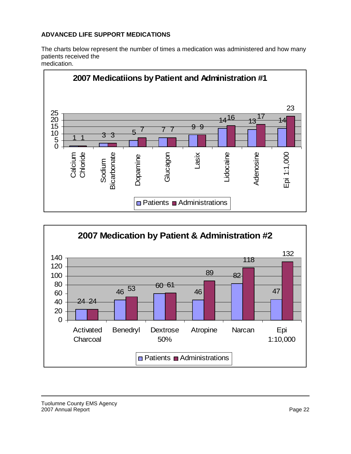## **ADVANCED LIFE SUPPORT MEDICATIONS**

The charts below represent the number of times a medication was administered and how many patients received the





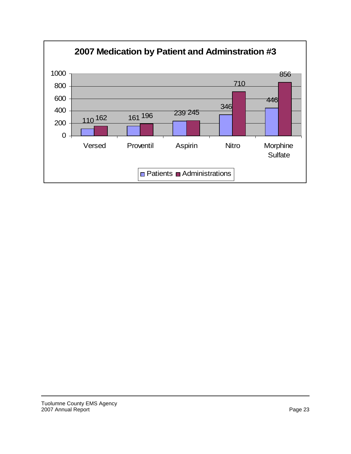